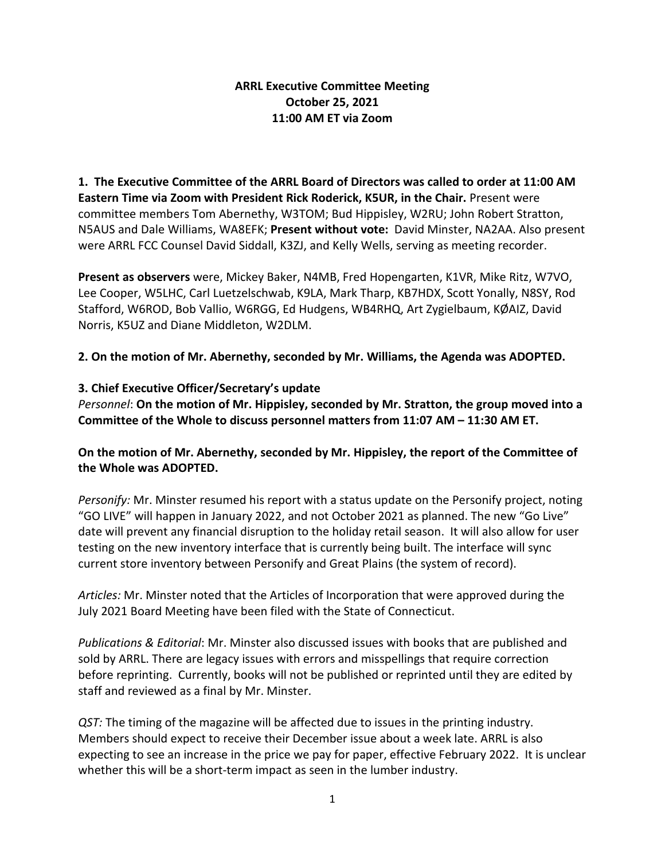## **ARRL Executive Committee Meeting October 25, 2021 11:00 AM ET via Zoom**

**1. The Executive Committee of the ARRL Board of Directors was called to order at 11:00 AM Eastern Time via Zoom with President Rick Roderick, K5UR, in the Chair.** Present were committee members Tom Abernethy, W3TOM; Bud Hippisley, W2RU; John Robert Stratton, N5AUS and Dale Williams, WA8EFK; **Present without vote:** David Minster, NA2AA. Also present were ARRL FCC Counsel David Siddall, K3ZJ, and Kelly Wells, serving as meeting recorder.

**Present as observers** were, Mickey Baker, N4MB, Fred Hopengarten, K1VR, Mike Ritz, W7VO, Lee Cooper, W5LHC, Carl Luetzelschwab, K9LA, Mark Tharp, KB7HDX, Scott Yonally, N8SY, Rod Stafford, W6ROD, Bob Vallio, W6RGG, Ed Hudgens, WB4RHQ, Art Zygielbaum, KØAIZ, David Norris, K5UZ and Diane Middleton, W2DLM.

**2. On the motion of Mr. Abernethy, seconded by Mr. Williams, the Agenda was ADOPTED.**

# **3. Chief Executive Officer/Secretary's update**

*Personnel*: **On the motion of Mr. Hippisley, seconded by Mr. Stratton, the group moved into a Committee of the Whole to discuss personnel matters from 11:07 AM – 11:30 AM ET.**

**On the motion of Mr. Abernethy, seconded by Mr. Hippisley, the report of the Committee of the Whole was ADOPTED.** 

*Personify:* Mr. Minster resumed his report with a status update on the Personify project, noting "GO LIVE" will happen in January 2022, and not October 2021 as planned. The new "Go Live" date will prevent any financial disruption to the holiday retail season. It will also allow for user testing on the new inventory interface that is currently being built. The interface will sync current store inventory between Personify and Great Plains (the system of record).

*Articles:* Mr. Minster noted that the Articles of Incorporation that were approved during the July 2021 Board Meeting have been filed with the State of Connecticut.

*Publications & Editorial*: Mr. Minster also discussed issues with books that are published and sold by ARRL. There are legacy issues with errors and misspellings that require correction before reprinting. Currently, books will not be published or reprinted until they are edited by staff and reviewed as a final by Mr. Minster.

*QST:* The timing of the magazine will be affected due to issues in the printing industry. Members should expect to receive their December issue about a week late. ARRL is also expecting to see an increase in the price we pay for paper, effective February 2022. It is unclear whether this will be a short-term impact as seen in the lumber industry.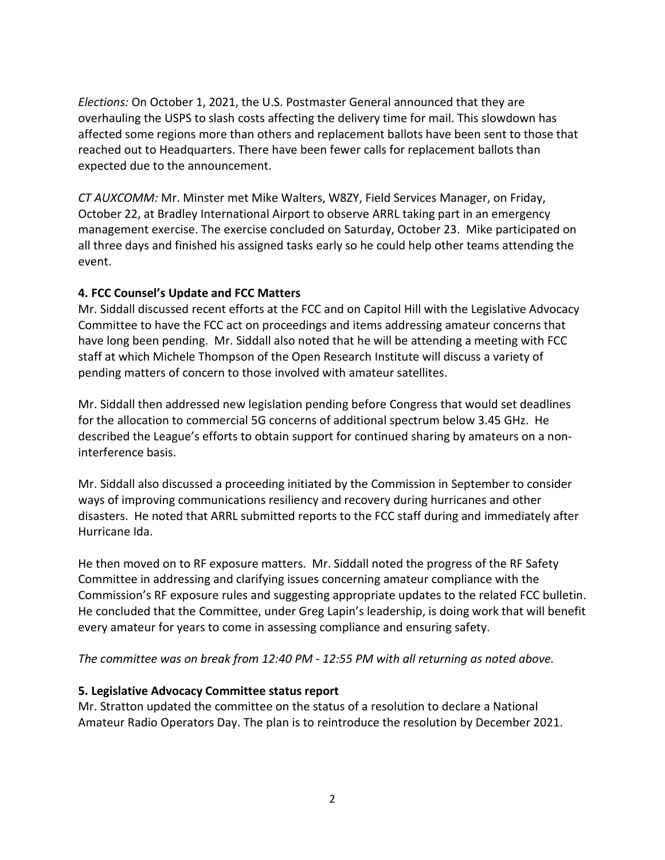*Elections:* On October 1, 2021, the U.S. Postmaster General announced that they are overhauling the USPS to slash costs affecting the delivery time for mail. This slowdown has affected some regions more than others and replacement ballots have been sent to those that reached out to Headquarters. There have been fewer calls for replacement ballots than expected due to the announcement.

*CT AUXCOMM:* Mr. Minster met Mike Walters, W8ZY, Field Services Manager, on Friday, October 22, at Bradley International Airport to observe ARRL taking part in an emergency management exercise. The exercise concluded on Saturday, October 23. Mike participated on all three days and finished his assigned tasks early so he could help other teams attending the event.

### **4. FCC Counsel's Update and FCC Matters**

Mr. Siddall discussed recent efforts at the FCC and on Capitol Hill with the Legislative Advocacy Committee to have the FCC act on proceedings and items addressing amateur concerns that have long been pending. Mr. Siddall also noted that he will be attending a meeting with FCC staff at which Michele Thompson of the Open Research Institute will discuss a variety of pending matters of concern to those involved with amateur satellites.

Mr. Siddall then addressed new legislation pending before Congress that would set deadlines for the allocation to commercial 5G concerns of additional spectrum below 3.45 GHz. He described the League's efforts to obtain support for continued sharing by amateurs on a noninterference basis.

Mr. Siddall also discussed a proceeding initiated by the Commission in September to consider ways of improving communications resiliency and recovery during hurricanes and other disasters. He noted that ARRL submitted reports to the FCC staff during and immediately after Hurricane Ida.

He then moved on to RF exposure matters. Mr. Siddall noted the progress of the RF Safety Committee in addressing and clarifying issues concerning amateur compliance with the Commission's RF exposure rules and suggesting appropriate updates to the related FCC bulletin. He concluded that the Committee, under Greg Lapin's leadership, is doing work that will benefit every amateur for years to come in assessing compliance and ensuring safety.

*The committee was on break from 12:40 PM - 12:55 PM with all returning as noted above.* 

# **5. Legislative Advocacy Committee status report**

Mr. Stratton updated the committee on the status of a resolution to declare a National Amateur Radio Operators Day. The plan is to reintroduce the resolution by December 2021.